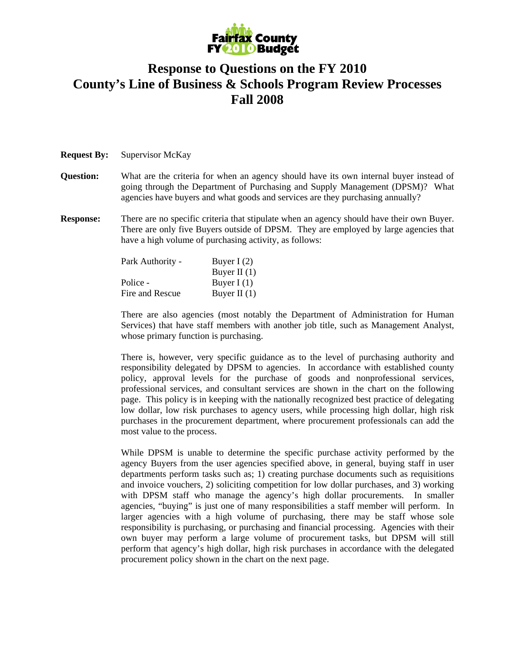

## **Response to Questions on the FY 2010 County's Line of Business & Schools Program Review Processes Fall 2008**

## **Request By:** Supervisor McKay

- **Question:** What are the criteria for when an agency should have its own internal buyer instead of going through the Department of Purchasing and Supply Management (DPSM)? What agencies have buyers and what goods and services are they purchasing annually?
- **Response:** There are no specific criteria that stipulate when an agency should have their own Buyer. There are only five Buyers outside of DPSM. They are employed by large agencies that have a high volume of purchasing activity, as follows:

| Buyer I $(2)$  |
|----------------|
| Buyer II $(1)$ |
| Buyer I $(1)$  |
| Buyer II $(1)$ |
|                |

 There are also agencies (most notably the Department of Administration for Human Services) that have staff members with another job title, such as Management Analyst, whose primary function is purchasing.

 There is, however, very specific guidance as to the level of purchasing authority and responsibility delegated by DPSM to agencies. In accordance with established county policy, approval levels for the purchase of goods and nonprofessional services, professional services, and consultant services are shown in the chart on the following page. This policy is in keeping with the nationally recognized best practice of delegating low dollar, low risk purchases to agency users, while processing high dollar, high risk purchases in the procurement department, where procurement professionals can add the most value to the process.

 While DPSM is unable to determine the specific purchase activity performed by the agency Buyers from the user agencies specified above, in general, buying staff in user departments perform tasks such as; 1) creating purchase documents such as requisitions and invoice vouchers, 2) soliciting competition for low dollar purchases, and 3) working with DPSM staff who manage the agency's high dollar procurements. In smaller agencies, "buying" is just one of many responsibilities a staff member will perform. In larger agencies with a high volume of purchasing, there may be staff whose sole responsibility is purchasing, or purchasing and financial processing. Agencies with their own buyer may perform a large volume of procurement tasks, but DPSM will still perform that agency's high dollar, high risk purchases in accordance with the delegated procurement policy shown in the chart on the next page.